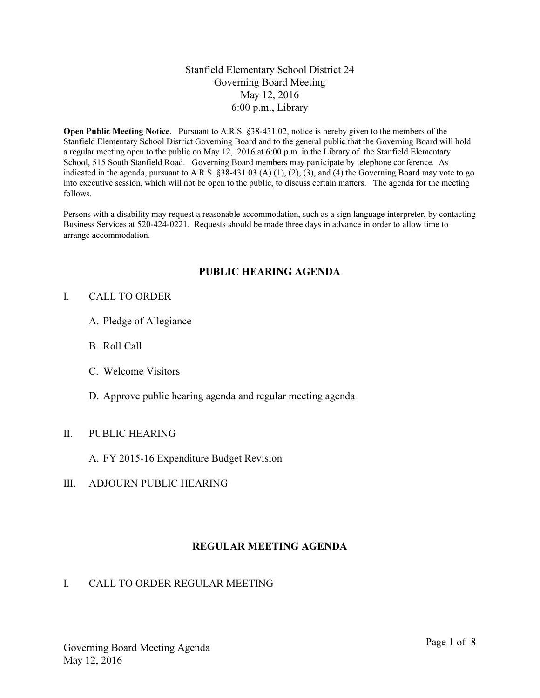## Stanfield Elementary School District 24 Governing Board Meeting May 12, 2016 6:00 p.m., Library

Open Public Meeting Notice. Pursuant to A.R.S. §38-431.02, notice is hereby given to the members of the Stanfield Elementary School District Governing Board and to the general public that the Governing Board will hold a regular meeting open to the public on May 12, 2016 at 6:00 p.m. in the Library of the Stanfield Elementary School, 515 South Stanfield Road. Governing Board members may participate by telephone conference. As indicated in the agenda, pursuant to A.R.S. §38-431.03 (A) (1), (2), (3), and (4) the Governing Board may vote to go into executive session, which will not be open to the public, to discuss certain matters. The agenda for the meeting follows.

Persons with a disability may request a reasonable accommodation, such as a sign language interpreter, by contacting Business Services at 520-424-0221. Requests should be made three days in advance in order to allow time to arrange accommodation.

### PUBLIC HEARING AGENDA

#### I. CALL TO ORDER

- A. Pledge of Allegiance
- B. Roll Call
- C. Welcome Visitors
- D. Approve public hearing agenda and regular meeting agenda

#### II. PUBLIC HEARING

- A. FY 2015-16 Expenditure Budget Revision
- III. ADJOURN PUBLIC HEARING

#### REGULAR MEETING AGENDA

#### I. CALL TO ORDER REGULAR MEETING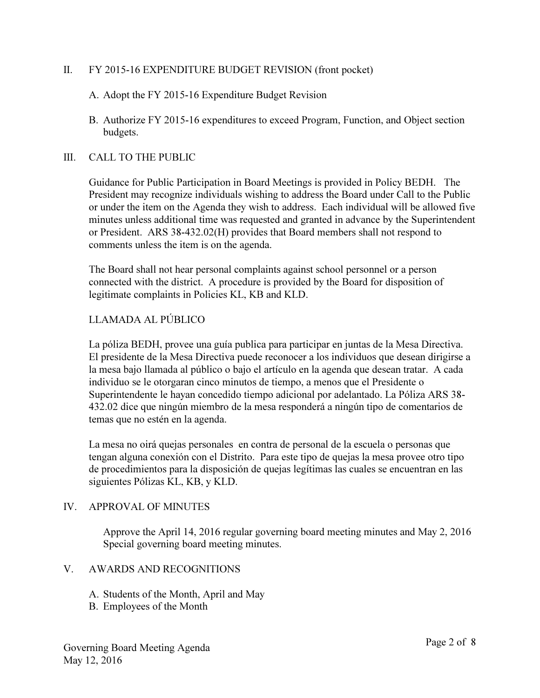### II. FY 2015-16 EXPENDITURE BUDGET REVISION (front pocket)

A. Adopt the FY 2015-16 Expenditure Budget Revision

B. Authorize FY 2015-16 expenditures to exceed Program, Function, and Object section budgets.

#### III. CALL TO THE PUBLIC

Guidance for Public Participation in Board Meetings is provided in Policy BEDH. The President may recognize individuals wishing to address the Board under Call to the Public or under the item on the Agenda they wish to address. Each individual will be allowed five minutes unless additional time was requested and granted in advance by the Superintendent or President. ARS 38-432.02(H) provides that Board members shall not respond to comments unless the item is on the agenda.

The Board shall not hear personal complaints against school personnel or a person connected with the district. A procedure is provided by the Board for disposition of legitimate complaints in Policies KL, KB and KLD.

### LLAMADA AL PÚBLICO

La póliza BEDH, provee una guía publica para participar en juntas de la Mesa Directiva. El presidente de la Mesa Directiva puede reconocer a los individuos que desean dirigirse a la mesa bajo llamada al público o bajo el artículo en la agenda que desean tratar. A cada individuo se le otorgaran cinco minutos de tiempo, a menos que el Presidente o Superintendente le hayan concedido tiempo adicional por adelantado. La Póliza ARS 38- 432.02 dice que ningún miembro de la mesa responderá a ningún tipo de comentarios de temas que no estén en la agenda.

La mesa no oirá quejas personales en contra de personal de la escuela o personas que tengan alguna conexión con el Distrito. Para este tipo de quejas la mesa provee otro tipo de procedimientos para la disposición de quejas legítimas las cuales se encuentran en las siguientes Pólizas KL, KB, y KLD.

#### IV. APPROVAL OF MINUTES

Approve the April 14, 2016 regular governing board meeting minutes and May 2, 2016 Special governing board meeting minutes.

#### V. AWARDS AND RECOGNITIONS

- A. Students of the Month, April and May
- B. Employees of the Month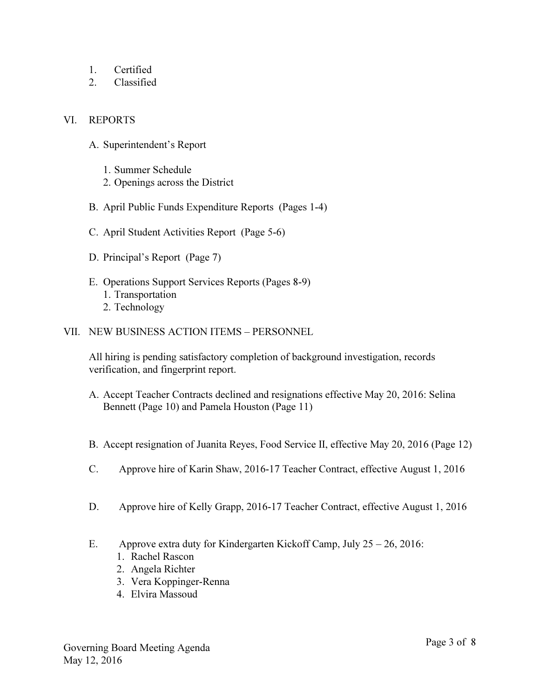- 1. Certified
- 2. Classified

## VI. REPORTS

- A. Superintendent's Report
	- 1. Summer Schedule
	- 2. Openings across the District
- B. April Public Funds Expenditure Reports (Pages 1-4)
- C. April Student Activities Report (Page 5-6)
- D. Principal's Report (Page 7)
- E. Operations Support Services Reports (Pages 8-9) 1. Transportation 2. Technology
- VII. NEW BUSINESS ACTION ITEMS PERSONNEL

All hiring is pending satisfactory completion of background investigation, records verification, and fingerprint report.

- A. Accept Teacher Contracts declined and resignations effective May 20, 2016: Selina Bennett (Page 10) and Pamela Houston (Page 11)
- B. Accept resignation of Juanita Reyes, Food Service II, effective May 20, 2016 (Page 12)
- C. Approve hire of Karin Shaw, 2016-17 Teacher Contract, effective August 1, 2016
- D. Approve hire of Kelly Grapp, 2016-17 Teacher Contract, effective August 1, 2016
- E. Approve extra duty for Kindergarten Kickoff Camp, July 25 26, 2016:
	- 1. Rachel Rascon
	- 2. Angela Richter
	- 3. Vera Koppinger-Renna
	- 4. Elvira Massoud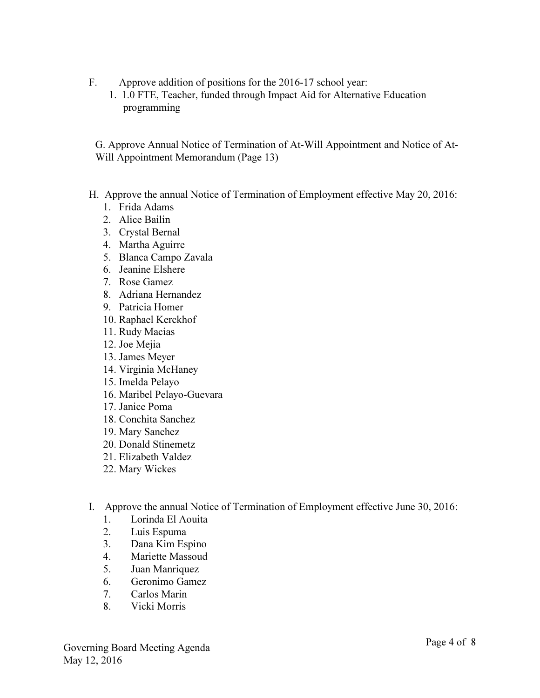- F. Approve addition of positions for the 2016-17 school year:
	- 1. 1.0 FTE, Teacher, funded through Impact Aid for Alternative Education programming

G. Approve Annual Notice of Termination of At-Will Appointment and Notice of At-Will Appointment Memorandum (Page 13)

- H. Approve the annual Notice of Termination of Employment effective May 20, 2016:
	- 1. Frida Adams
	- 2. Alice Bailin
	- 3. Crystal Bernal
	- 4. Martha Aguirre
	- 5. Blanca Campo Zavala
	- 6. Jeanine Elshere
	- 7. Rose Gamez
	- 8. Adriana Hernandez
	- 9. Patricia Homer
	- 10. Raphael Kerckhof
	- 11. Rudy Macias
	- 12. Joe Mejia
	- 13. James Meyer
	- 14. Virginia McHaney
	- 15. Imelda Pelayo
	- 16. Maribel Pelayo-Guevara
	- 17. Janice Poma
	- 18. Conchita Sanchez
	- 19. Mary Sanchez
	- 20. Donald Stinemetz
	- 21. Elizabeth Valdez
	- 22. Mary Wickes
- I. Approve the annual Notice of Termination of Employment effective June 30, 2016:
	- 1. Lorinda El Aouita
	- 2. Luis Espuma
	- 3. Dana Kim Espino
	- 4. Mariette Massoud
	- 5. Juan Manriquez
	- 6. Geronimo Gamez
	- 7. Carlos Marin
	- 8. Vicki Morris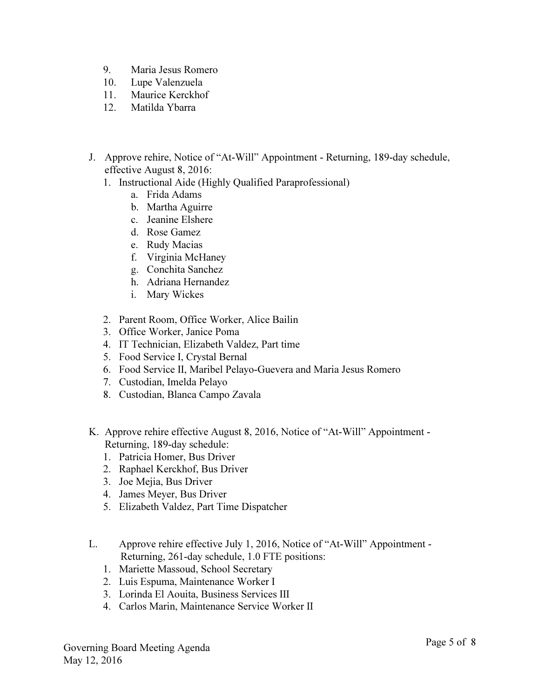- 9. Maria Jesus Romero
- 10. Lupe Valenzuela
- 11. Maurice Kerckhof
- 12. Matilda Ybarra
- J. Approve rehire, Notice of "At-Will" Appointment Returning, 189-day schedule, effective August 8, 2016:
	- 1. Instructional Aide (Highly Qualified Paraprofessional)
		- a. Frida Adams
		- b. Martha Aguirre
		- c. Jeanine Elshere
		- d. Rose Gamez
		- e. Rudy Macias
		- f. Virginia McHaney
		- g. Conchita Sanchez
		- h. Adriana Hernandez
		- i. Mary Wickes
	- 2. Parent Room, Office Worker, Alice Bailin
	- 3. Office Worker, Janice Poma
	- 4. IT Technician, Elizabeth Valdez, Part time
	- 5. Food Service I, Crystal Bernal
	- 6. Food Service II, Maribel Pelayo-Guevera and Maria Jesus Romero
	- 7. Custodian, Imelda Pelayo
	- 8. Custodian, Blanca Campo Zavala
- K. Approve rehire effective August 8, 2016, Notice of "At-Will" Appointment Returning, 189-day schedule:
	- 1. Patricia Homer, Bus Driver
	- 2. Raphael Kerckhof, Bus Driver
	- 3. Joe Mejia, Bus Driver
	- 4. James Meyer, Bus Driver
	- 5. Elizabeth Valdez, Part Time Dispatcher
- L. Approve rehire effective July 1, 2016, Notice of "At-Will" Appointment Returning, 261-day schedule, 1.0 FTE positions:
	- 1. Mariette Massoud, School Secretary
	- 2. Luis Espuma, Maintenance Worker I
	- 3. Lorinda El Aouita, Business Services III
	- 4. Carlos Marin, Maintenance Service Worker II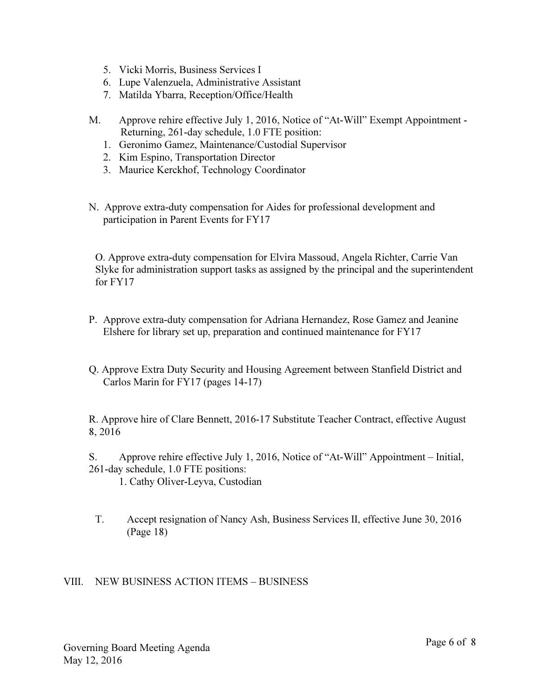- 5. Vicki Morris, Business Services I
- 6. Lupe Valenzuela, Administrative Assistant
- 7. Matilda Ybarra, Reception/Office/Health
- M. Approve rehire effective July 1, 2016, Notice of "At-Will" Exempt Appointment Returning, 261-day schedule, 1.0 FTE position:
	- 1. Geronimo Gamez, Maintenance/Custodial Supervisor
	- 2. Kim Espino, Transportation Director
	- 3. Maurice Kerckhof, Technology Coordinator
- N. Approve extra-duty compensation for Aides for professional development and participation in Parent Events for FY17

O. Approve extra-duty compensation for Elvira Massoud, Angela Richter, Carrie Van Slyke for administration support tasks as assigned by the principal and the superintendent for FY17

- P. Approve extra-duty compensation for Adriana Hernandez, Rose Gamez and Jeanine Elshere for library set up, preparation and continued maintenance for FY17
- Q. Approve Extra Duty Security and Housing Agreement between Stanfield District and Carlos Marin for FY17 (pages 14-17)

R. Approve hire of Clare Bennett, 2016-17 Substitute Teacher Contract, effective August 8, 2016

S. Approve rehire effective July 1, 2016, Notice of "At-Will" Appointment – Initial, 261-day schedule, 1.0 FTE positions:

1. Cathy Oliver-Leyva, Custodian

 T. Accept resignation of Nancy Ash, Business Services II, effective June 30, 2016 (Page 18)

### VIII. NEW BUSINESS ACTION ITEMS – BUSINESS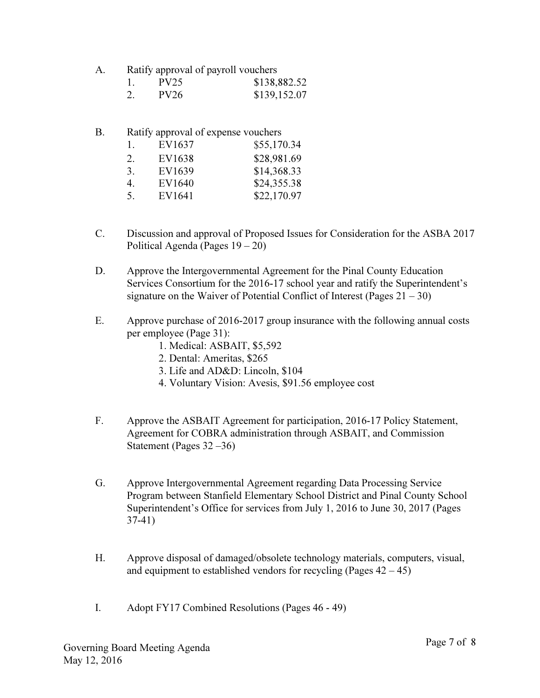| Ratify approval of payroll vouchers | А. |  |  |  |
|-------------------------------------|----|--|--|--|
|-------------------------------------|----|--|--|--|

| PV25 | \$138,882.52 |
|------|--------------|
| PV26 | \$139,152.07 |

| B. |    | Ratify approval of expense vouchers |             |  |
|----|----|-------------------------------------|-------------|--|
|    | Τ. | EV1637                              | \$55,170.34 |  |
|    | 2. | EV1638                              | \$28,981.69 |  |
|    | 3. | EV1639                              | \$14,368.33 |  |
|    | 4. | EV1640                              | \$24,355.38 |  |
|    | 5. | EV1641                              | \$22,170.97 |  |

- C. Discussion and approval of Proposed Issues for Consideration for the ASBA 2017 Political Agenda (Pages 19 – 20)
- D. Approve the Intergovernmental Agreement for the Pinal County Education Services Consortium for the 2016-17 school year and ratify the Superintendent's signature on the Waiver of Potential Conflict of Interest (Pages  $21 - 30$ )
- E. Approve purchase of 2016-2017 group insurance with the following annual costs per employee (Page 31):
	- 1. Medical: ASBAIT, \$5,592
	- 2. Dental: Ameritas, \$265
	- 3. Life and AD&D: Lincoln, \$104
	- 4. Voluntary Vision: Avesis, \$91.56 employee cost
- F. Approve the ASBAIT Agreement for participation, 2016-17 Policy Statement, Agreement for COBRA administration through ASBAIT, and Commission Statement (Pages 32 –36)
- G. Approve Intergovernmental Agreement regarding Data Processing Service Program between Stanfield Elementary School District and Pinal County School Superintendent's Office for services from July 1, 2016 to June 30, 2017 (Pages 37-41)
- H. Approve disposal of damaged/obsolete technology materials, computers, visual, and equipment to established vendors for recycling (Pages  $42 - 45$ )
- I. Adopt FY17 Combined Resolutions (Pages 46 49)